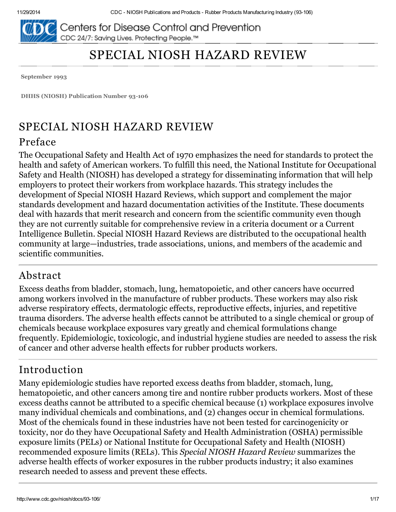

Centers for Disease Control and Prevention CDC 24/7: Saving Lives. Protecting People.™

# SPECIAL NIOSH HAZARD REVIEW

September 1993

DHHS (NIOSH) Publication Number 93-106

# SPECIAL NIOSH HAZARD REVIEW

#### Preface

The Occupational Safety and Health Act of 1970 emphasizes the need for standards to protect the health and safety of American workers. To fulfill this need, the National Institute for Occupational Safety and Health (NIOSH) has developed a strategy for disseminating information that will help employers to protect their workers from workplace hazards. This strategy includes the development of Special NIOSH Hazard Reviews, which support and complement the major standards development and hazard documentation activities of the Institute. These documents deal with hazards that merit research and concern from the scientific community even though they are not currently suitable for comprehensive review in a criteria document or a Current Intelligence Bulletin. Special NIOSH Hazard Reviews are distributed to the occupational health community at large—industries, trade associations, unions, and members of the academic and scientific communities.

#### Abstract

Excess deaths from bladder, stomach, lung, hematopoietic, and other cancers have occurred among workers involved in the manufacture of rubber products. These workers may also risk adverse respiratory effects, dermatologic effects, reproductive effects, injuries, and repetitive trauma disorders. The adverse health effects cannot be attributed to a single chemical or group of chemicals because workplace exposures vary greatly and chemical formulations change frequently. Epidemiologic, toxicologic, and industrial hygiene studies are needed to assess the risk of cancer and other adverse health effects for rubber products workers.

# Introduction

Many epidemiologic studies have reported excess deaths from bladder, stomach, lung, hematopoietic, and other cancers among tire and nontire rubber products workers. Most of these excess deaths cannot be attributed to a specific chemical because (1) workplace exposures involve many individual chemicals and combinations, and (2) changes occur in chemical formulations. Most of the chemicals found in these industries have not been tested for carcinogenicity or toxicity, nor do they have Occupational Safety and Health Administration (OSHA) permissible exposure limits (PELs) or National Institute for Occupational Safety and Health (NIOSH) recommended exposure limits (RELs). This Special NIOSH Hazard Review summarizes the adverse health effects of worker exposures in the rubber products industry; it also examines research needed to assess and prevent these effects.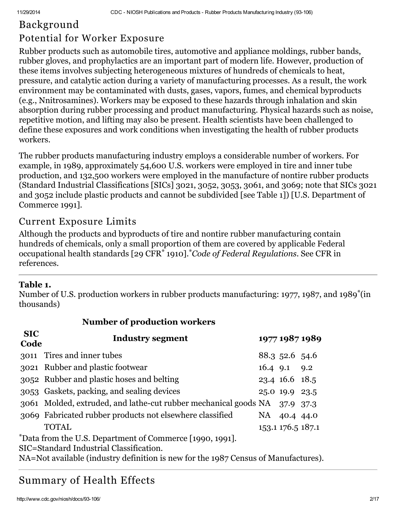# Background

# Potential for Worker Exposure

Rubber products such as automobile tires, automotive and appliance moldings, rubber bands, rubber gloves, and prophylactics are an important part of modern life. However, production of these items involves subjecting heterogeneous mixtures of hundreds of chemicals to heat, pressure, and catalytic action during a variety of manufacturing processes. As a result, the work environment may be contaminated with dusts, gases, vapors, fumes, and chemical byproducts (e.g., Nnitrosamines). Workers may be exposed to these hazards through inhalation and skin absorption during rubber processing and product manufacturing. Physical hazards such as noise, repetitive motion, and lifting may also be present. Health scientists have been challenged to define these exposures and work conditions when investigating the health of rubber products workers.

The rubber products manufacturing industry employs a considerable number of workers. For example, in 1989, approximately 54,600 U.S. workers were employed in tire and inner tube production, and 132,500 workers were employed in the manufacture of nontire rubber products (Standard Industrial Classifications [SICs] 3021, 3052, 3053, 3061, and 3069; note that SICs 3021 and 3052 include plastic products and cannot be subdivided [see Table 1]) [U.S. Department of Commerce 1991].

#### Current Exposure Limits

Although the products and byproducts of tire and nontire rubber manufacturing contain hundreds of chemicals, only a small proportion of them are covered by applicable Federal occupational health standards [29 CFR<sup>\*</sup> 1910]. Code of Federal Regulations. See CFR in references.

#### Table 1.

Number of U.S. production workers in rubber products manufacturing: 1977, 1987, and 1989<sup>\*</sup>(in thousands)

| <b>Trainber of programment workers</b>                   |                                                                 |      |                   |                |  |  |  |  |
|----------------------------------------------------------|-----------------------------------------------------------------|------|-------------------|----------------|--|--|--|--|
| <b>SIC</b><br>Code                                       | Industry segment                                                |      |                   | 1977 1987 1989 |  |  |  |  |
|                                                          | 3011 Tires and inner tubes                                      |      | 88.3 52.6 54.6    |                |  |  |  |  |
|                                                          | 3021 Rubber and plastic footwear                                |      | 16.4 9.1 9.2      |                |  |  |  |  |
|                                                          | 3052 Rubber and plastic hoses and belting                       |      | 23.4 16.6 18.5    |                |  |  |  |  |
|                                                          | 3053 Gaskets, packing, and sealing devices                      |      | 25.0 19.9 23.5    |                |  |  |  |  |
|                                                          | 3061 Molded, extruded, and lathe-cut rubber mechanical goods NA |      | 37.9 37.3         |                |  |  |  |  |
|                                                          | 3069 Fabricated rubber products not elsewhere classified        | NA – | 40.4 44.0         |                |  |  |  |  |
|                                                          | <b>TOTAL</b>                                                    |      | 153.1 176.5 187.1 |                |  |  |  |  |
| *Data from the U.S. Department of Commerce [1990, 1991]. |                                                                 |      |                   |                |  |  |  |  |
| SIC=Standard Industrial Classification.                  |                                                                 |      |                   |                |  |  |  |  |

Number of production workers

NA=Not available (industry definition is new for the 1987 Census of Manufactures).

# Summary of Health Effects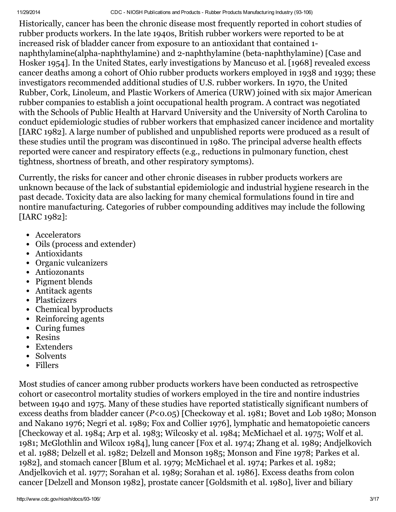11/29/2014 CDC NIOSH Publications and Products Rubber Products Manufacturing Industry (93106)

Historically, cancer has been the chronic disease most frequently reported in cohort studies of rubber products workers. In the late 1940s, British rubber workers were reported to be at increased risk of bladder cancer from exposure to an antioxidant that contained 1 naphthylamine(alpha-naphthylamine) and 2-naphthylamine (beta-naphthylamine) [Case and Hosker 1954]. In the United States, early investigations by Mancuso et al. [1968] revealed excess cancer deaths among a cohort of Ohio rubber products workers employed in 1938 and 1939; these investigators recommended additional studies of U.S. rubber workers. In 1970, the United Rubber, Cork, Linoleum, and Plastic Workers of America (URW) joined with six major American rubber companies to establish a joint occupational health program. A contract was negotiated with the Schools of Public Health at Harvard University and the University of North Carolina to conduct epidemiologic studies of rubber workers that emphasized cancer incidence and mortality [IARC 1982]. A large number of published and unpublished reports were produced as a result of these studies until the program was discontinued in 1980. The principal adverse health effects reported were cancer and respiratory effects (e.g., reductions in pulmonary function, chest tightness, shortness of breath, and other respiratory symptoms).

Currently, the risks for cancer and other chronic diseases in rubber products workers are unknown because of the lack of substantial epidemiologic and industrial hygiene research in the past decade. Toxicity data are also lacking for many chemical formulations found in tire and nontire manufacturing. Categories of rubber compounding additives may include the following [IARC 1982]:

- Accelerators
- Oils (process and extender)
- Antioxidants
- Organic vulcanizers
- Antiozonants
- Pigment blends
- Antitack agents
- Plasticizers
- Chemical byproducts
- Reinforcing agents
- Curing fumes
- Resins
- Extenders
- Solvents
- Fillers

Most studies of cancer among rubber products workers have been conducted as retrospective cohort or casecontrol mortality studies of workers employed in the tire and nontire industries between 1940 and 1975. Many of these studies have reported statistically significant numbers of excess deaths from bladder cancer (P<0.05) [Checkoway et al. 1981; Bovet and Lob 1980; Monson and Nakano 1976; Negri et al. 1989; Fox and Collier 1976], lymphatic and hematopoietic cancers [Checkoway et al. 1984; Arp et al. 1983; Wilcosky et al. 1984; McMichael et al. 1975; Wolf et al. 1981; McGlothlin and Wilcox 1984], lung cancer [Fox et al. 1974; Zhang et al. 1989; Andjelkovich et al. 1988; Delzell et al. 1982; Delzell and Monson 1985; Monson and Fine 1978; Parkes et al. 1982], and stomach cancer [Blum et al. 1979; McMichael et al. 1974; Parkes et al. 1982; Andjelkovich et al. 1977; Sorahan et al. 1989; Sorahan et al. 1986]. Excess deaths from colon cancer [Delzell and Monson 1982], prostate cancer [Goldsmith et al. 1980], liver and biliary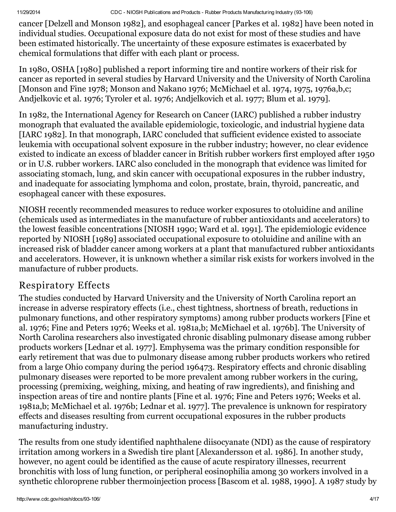cancer [Delzell and Monson 1982], and esophageal cancer [Parkes et al. 1982] have been noted in individual studies. Occupational exposure data do not exist for most of these studies and have been estimated historically. The uncertainty of these exposure estimates is exacerbated by chemical formulations that differ with each plant or process.

In 1980, OSHA [1980] published a report informing tire and nontire workers of their risk for cancer as reported in several studies by Harvard University and the University of North Carolina [Monson and Fine 1978; Monson and Nakano 1976; McMichael et al. 1974, 1975, 1976a,b,c; Andjelkovic et al. 1976; Tyroler et al. 1976; Andjelkovich et al. 1977; Blum et al. 1979].

In 1982, the International Agency for Research on Cancer (IARC) published a rubber industry monograph that evaluated the available epidemiologic, toxicologic, and industrial hygiene data [IARC 1982]. In that monograph, IARC concluded that sufficient evidence existed to associate leukemia with occupational solvent exposure in the rubber industry; however, no clear evidence existed to indicate an excess of bladder cancer in British rubber workers first employed after 1950 or in U.S. rubber workers. IARC also concluded in the monograph that evidence was limited for associating stomach, lung, and skin cancer with occupational exposures in the rubber industry, and inadequate for associating lymphoma and colon, prostate, brain, thyroid, pancreatic, and esophageal cancer with these exposures.

NIOSH recently recommended measures to reduce worker exposures to otoluidine and aniline (chemicals used as intermediates in the manufacture of rubber antioxidants and accelerators) to the lowest feasible concentrations [NIOSH 1990; Ward et al. 1991]. The epidemiologic evidence reported by NIOSH [1989] associated occupational exposure to otoluidine and aniline with an increased risk of bladder cancer among workers at a plant that manufactured rubber antioxidants and accelerators. However, it is unknown whether a similar risk exists for workers involved in the manufacture of rubber products.

# Respiratory Effects

The studies conducted by Harvard University and the University of North Carolina report an increase in adverse respiratory effects (i.e., chest tightness, shortness of breath, reductions in pulmonary functions, and other respiratory symptoms) among rubber products workers [Fine et al. 1976; Fine and Peters 1976; Weeks et al. 1981a,b; McMichael et al. 1976b]. The University of North Carolina researchers also investigated chronic disabling pulmonary disease among rubber products workers [Lednar et al. 1977]. Emphysema was the primary condition responsible for early retirement that was due to pulmonary disease among rubber products workers who retired from a large Ohio company during the period 196473. Respiratory effects and chronic disabling pulmonary diseases were reported to be more prevalent among rubber workers in the curing, processing (premixing, weighing, mixing, and heating of raw ingredients), and finishing and inspection areas of tire and nontire plants [Fine et al. 1976; Fine and Peters 1976; Weeks et al. 1981a,b; McMichael et al. 1976b; Lednar et al. 1977]. The prevalence is unknown for respiratory effects and diseases resulting from current occupational exposures in the rubber products manufacturing industry.

The results from one study identified naphthalene diisocyanate (NDI) as the cause of respiratory irritation among workers in a Swedish tire plant [Alexandersson et al. 1986]. In another study, however, no agent could be identified as the cause of acute respiratory illnesses, recurrent bronchitis with loss of lung function, or peripheral eosinophilia among 30 workers involved in a synthetic chloroprene rubber thermoinjection process [Bascom et al. 1988, 1990]. A 1987 study by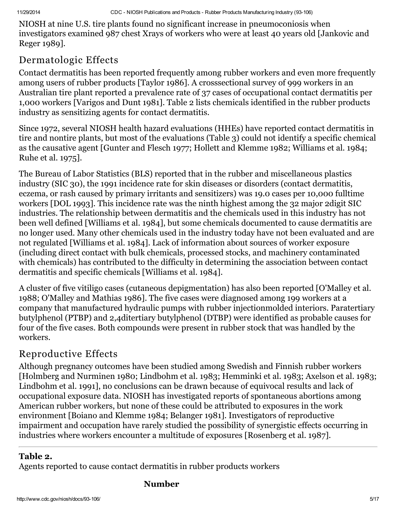NIOSH at nine U.S. tire plants found no significant increase in pneumoconiosis when investigators examined 987 chest Xrays of workers who were at least 40 years old [Jankovic and Reger 1989].

#### Dermatologic Effects

Contact dermatitis has been reported frequently among rubber workers and even more frequently among users of rubber products [Taylor 1986]. A crosssectional survey of 999 workers in an Australian tire plant reported a prevalence rate of 37 cases of occupational contact dermatitis per 1,000 workers [Varigos and Dunt 1981]. Table 2 lists chemicals identified in the rubber products industry as sensitizing agents for contact dermatitis.

Since 1972, several NIOSH health hazard evaluations (HHEs) have reported contact dermatitis in tire and nontire plants, but most of the evaluations (Table 3) could not identify a specific chemical as the causative agent [Gunter and Flesch 1977; Hollett and Klemme 1982; Williams et al. 1984; Ruhe et al. 1975].

The Bureau of Labor Statistics (BLS) reported that in the rubber and miscellaneous plastics industry (SIC 30), the 1991 incidence rate for skin diseases or disorders (contact dermatitis, eczema, or rash caused by primary irritants and sensitizers) was 19.0 cases per 10,000 fulltime workers [DOL 1993]. This incidence rate was the ninth highest among the 32 major 2digit SIC industries. The relationship between dermatitis and the chemicals used in this industry has not been well defined [Williams et al. 1984], but some chemicals documented to cause dermatitis are no longer used. Many other chemicals used in the industry today have not been evaluated and are not regulated [Williams et al. 1984]. Lack of information about sources of worker exposure (including direct contact with bulk chemicals, processed stocks, and machinery contaminated with chemicals) has contributed to the difficulty in determining the association between contact dermatitis and specific chemicals [Williams et al. 1984].

A cluster of five vitiligo cases (cutaneous depigmentation) has also been reported [O'Malley et al. 1988; O'Malley and Mathias 1986]. The five cases were diagnosed among 199 workers at a company that manufactured hydraulic pumps with rubber injectionmolded interiors. Paratertiary butylphenol (PTBP) and 2,4ditertiary butylphenol (DTBP) were identified as probable causes for four of the five cases. Both compounds were present in rubber stock that was handled by the workers.

#### Reproductive Effects

Although pregnancy outcomes have been studied among Swedish and Finnish rubber workers [Holmberg and Nurminen 1980; Lindbohm et al. 1983; Hemminki et al. 1983; Axelson et al. 1983; Lindbohm et al. 1991], no conclusions can be drawn because of equivocal results and lack of occupational exposure data. NIOSH has investigated reports of spontaneous abortions among American rubber workers, but none of these could be attributed to exposures in the work environment [Boiano and Klemme 1984; Belanger 1981]. Investigators of reproductive impairment and occupation have rarely studied the possibility of synergistic effects occurring in industries where workers encounter a multitude of exposures [Rosenberg et al. 1987].

#### Table 2.

Agents reported to cause contact dermatitis in rubber products workers

#### Number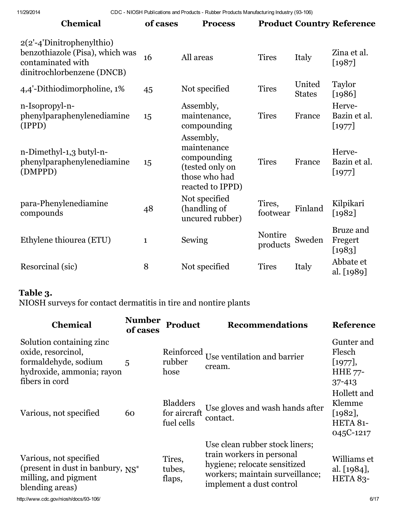| <b>Chemical</b>                                                                                                     | of cases     | <b>Process</b>                                                                                  |                     |                         | <b>Product Country Reference</b> |
|---------------------------------------------------------------------------------------------------------------------|--------------|-------------------------------------------------------------------------------------------------|---------------------|-------------------------|----------------------------------|
| $2(2'-4')$ Dinitrophenylthio)<br>benzothiazole (Pisa), which was<br>contaminated with<br>dinitrochlorbenzene (DNCB) | 16           | All areas                                                                                       | <b>Tires</b>        | Italy                   | Zina et al.<br>$[1987]$          |
| 4,4'-Dithiodimorpholine, 1%                                                                                         | 45           | Not specified                                                                                   | <b>Tires</b>        | United<br><b>States</b> | Taylor<br>$[1986]$               |
| n-Isopropyl-n-<br>phenylparaphenylenediamine<br>(IPPD)                                                              | 15           | Assembly,<br>maintenance,<br>compounding                                                        | <b>Tires</b>        | France                  | Herve-<br>Bazin et al.<br>[1977] |
| n-Dimethyl-1,3 butyl-n-<br>phenylparaphenylenediamine<br>(DMPPD)                                                    | 15           | Assembly,<br>maintenance<br>compounding<br>(tested only on<br>those who had<br>reacted to IPPD) | <b>Tires</b>        | France                  | Herve-<br>Bazin et al.<br>[1977] |
| para-Phenylenediamine<br>compounds                                                                                  | 48           | Not specified<br>(handling of<br>uncured rubber)                                                | Tires,<br>footwear  | Finland                 | Kilpikari<br>$[1982]$            |
| Ethylene thiourea (ETU)                                                                                             | $\mathbf{1}$ | Sewing                                                                                          | Nontire<br>products | Sweden                  | Bruze and<br>Fregert<br>$[1983]$ |
| Resorcinal (sic)                                                                                                    | 8            | Not specified                                                                                   | <b>Tires</b>        | Italy                   | Abbate et<br>al. [1989]          |

#### Table 3.

NIOSH surveys for contact dermatitis in tire and nontire plants

| <b>Chemical</b>                                                                                                       | <b>Number</b><br>of cases | Product                                       | <b>Recommendations</b>                                                                                                                                     | <b>Reference</b>                                                |
|-----------------------------------------------------------------------------------------------------------------------|---------------------------|-----------------------------------------------|------------------------------------------------------------------------------------------------------------------------------------------------------------|-----------------------------------------------------------------|
| Solution containing zinc<br>oxide, resorcinol,<br>formaldehyde, sodium<br>hydroxide, ammonia; rayon<br>fibers in cord | 5                         | Reinforced<br>rubber<br>hose                  | Use ventilation and barrier<br>cream.                                                                                                                      | Gunter and<br>Flesch<br>[1977],<br><b>HHE 77-</b><br>$37 - 413$ |
| Various, not specified                                                                                                | 60                        | <b>Bladders</b><br>for aircraft<br>fuel cells | Use gloves and wash hands after<br>contact.                                                                                                                | Hollett and<br>Klemme<br>$[1982],$<br>HETA 81-<br>045C-1217     |
| Various, not specified<br>(present in dust in banbury, $NS^*$<br>milling, and pigment<br>blending areas)              |                           | Tires,<br>tubes,<br>flaps,                    | Use clean rubber stock liners;<br>train workers in personal<br>hygiene; relocate sensitized<br>workers; maintain surveillance;<br>implement a dust control | Williams et<br>al. [1984],<br><b>HETA 83-</b>                   |

http://www.cdc.gov/niosh/docs/93-106/ 6/17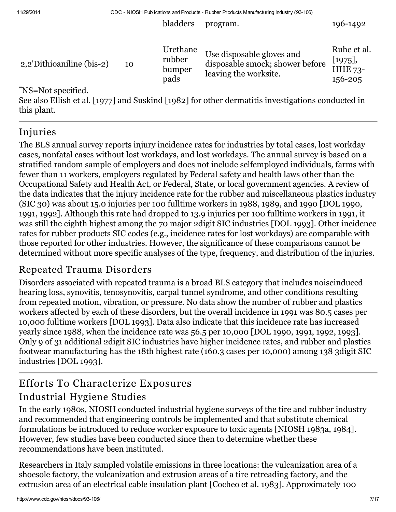bladders program. 196-1492

| 2,2'Dithioaniline (bis-2) | 10 | Urethane<br>rubber<br>bumper<br>pads | Use disposable gloves and<br>disposable smock; shower before<br>leaving the worksite.             | Ruhe et al.<br>[1975],<br><b>HHE 73-</b><br>156-205 |
|---------------------------|----|--------------------------------------|---------------------------------------------------------------------------------------------------|-----------------------------------------------------|
| *NS=Not specified.        |    |                                      | See also Ellish et al. [1977] and Suskind [1982] for other dermatitis investigations conducted in |                                                     |

this plant.

#### Injuries

The BLS annual survey reports injury incidence rates for industries by total cases, lost workday cases, nonfatal cases without lost workdays, and lost workdays. The annual survey is based on a stratified random sample of employers and does not include selfemployed individuals, farms with fewer than 11 workers, employers regulated by Federal safety and health laws other than the Occupational Safety and Health Act, or Federal, State, or local government agencies. A review of the data indicates that the injury incidence rate for the rubber and miscellaneous plastics industry (SIC 30) was about 15.0 injuries per 100 fulltime workers in 1988, 1989, and 1990 [DOL 1990, 1991, 1992]. Although this rate had dropped to 13.9 injuries per 100 fulltime workers in 1991, it was still the eighth highest among the 70 major 2digit SIC industries [DOL 1993]. Other incidence rates for rubber products SIC codes (e.g., incidence rates for lost workdays) are comparable with those reported for other industries. However, the significance of these comparisons cannot be determined without more specific analyses of the type, frequency, and distribution of the injuries.

# Repeated Trauma Disorders

Disorders associated with repeated trauma is a broad BLS category that includes noiseinduced hearing loss, synovitis, tenosynovitis, carpal tunnel syndrome, and other conditions resulting from repeated motion, vibration, or pressure. No data show the number of rubber and plastics workers affected by each of these disorders, but the overall incidence in 1991 was 80.5 cases per 10,000 fulltime workers [DOL 1993]. Data also indicate that this incidence rate has increased yearly since 1988, when the incidence rate was 56.5 per 10,000 [DOL 1990, 1991, 1992, 1993]. Only 9 of 31 additional 2digit SIC industries have higher incidence rates, and rubber and plastics footwear manufacturing has the 18th highest rate (160.3 cases per 10,000) among 138 3digit SIC industries [DOL 1993].

# Efforts To Characterize Exposures

#### Industrial Hygiene Studies

In the early 1980s, NIOSH conducted industrial hygiene surveys of the tire and rubber industry and recommended that engineering controls be implemented and that substitute chemical formulations be introduced to reduce worker exposure to toxic agents [NIOSH 1983a, 1984]. However, few studies have been conducted since then to determine whether these recommendations have been instituted.

Researchers in Italy sampled volatile emissions in three locations: the vulcanization area of a shoesole factory, the vulcanization and extrusion areas of a tire retreading factory, and the extrusion area of an electrical cable insulation plant [Cocheo et al. 1983]. Approximately 100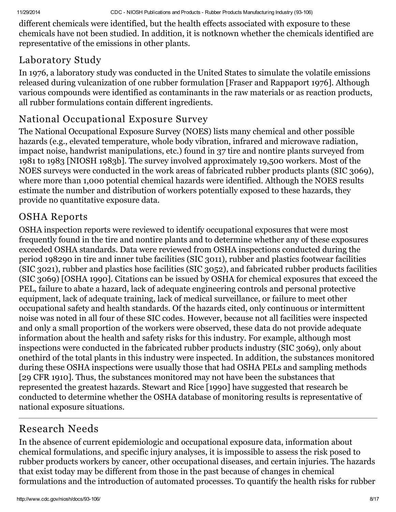different chemicals were identified, but the health effects associated with exposure to these chemicals have not been studied. In addition, it is notknown whether the chemicals identified are representative of the emissions in other plants.

#### Laboratory Study

In 1976, a laboratory study was conducted in the United States to simulate the volatile emissions released during vulcanization of one rubber formulation [Fraser and Rappaport 1976]. Although various compounds were identified as contaminants in the raw materials or as reaction products, all rubber formulations contain different ingredients.

## National Occupational Exposure Survey

The National Occupational Exposure Survey (NOES) lists many chemical and other possible hazards (e.g., elevated temperature, whole body vibration, infrared and microwave radiation, impact noise, handwrist manipulations, etc.) found in 37 tire and nontire plants surveyed from 1981 to 1983 [NIOSH 1983b]. The survey involved approximately 19,500 workers. Most of the NOES surveys were conducted in the work areas of fabricated rubber products plants (SIC 3069), where more than 1,000 potential chemical hazards were identified. Although the NOES results estimate the number and distribution of workers potentially exposed to these hazards, they provide no quantitative exposure data.

#### OSHA Reports

OSHA inspection reports were reviewed to identify occupational exposures that were most frequently found in the tire and nontire plants and to determine whether any of these exposures exceeded OSHA standards. Data were reviewed from OSHA inspections conducted during the period 198290 in tire and inner tube facilities (SIC 3011), rubber and plastics footwear facilities (SIC 3021), rubber and plastics hose facilities (SIC 3052), and fabricated rubber products facilities (SIC 3069) [OSHA 1990]. Citations can be issued by OSHA for chemical exposures that exceed the PEL, failure to abate a hazard, lack of adequate engineering controls and personal protective equipment, lack of adequate training, lack of medical surveillance, or failure to meet other occupational safety and health standards. Of the hazards cited, only continuous or intermittent noise was noted in all four of these SIC codes. However, because not all facilities were inspected and only a small proportion of the workers were observed, these data do not provide adequate information about the health and safety risks for this industry. For example, although most inspections were conducted in the fabricated rubber products industry (SIC 3069), only about onethird of the total plants in this industry were inspected. In addition, the substances monitored during these OSHA inspections were usually those that had OSHA PELs and sampling methods [29 CFR 1910]. Thus, the substances monitored may not have been the substances that represented the greatest hazards. Stewart and Rice [1990] have suggested that research be conducted to determine whether the OSHA database of monitoring results is representative of national exposure situations.

# Research Needs

In the absence of current epidemiologic and occupational exposure data, information about chemical formulations, and specific injury analyses, it is impossible to assess the risk posed to rubber products workers by cancer, other occupational diseases, and certain injuries. The hazards that exist today may be different from those in the past because of changes in chemical formulations and the introduction of automated processes. To quantify the health risks for rubber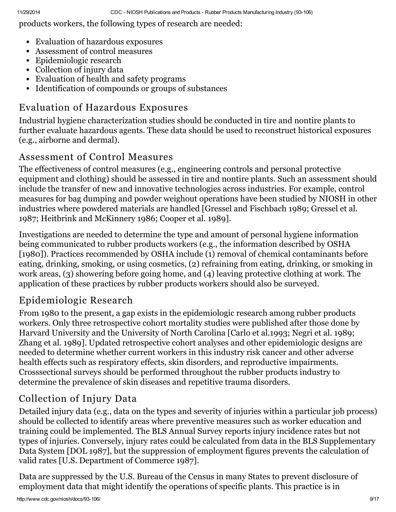products workers, the following types of research are needed:

- Evaluation of hazardous exposures
- Assessment of control measures
- Epidemiologic research
- Collection of injury data
- Evaluation of health and safety programs
- Identification of compounds or groups of substances

#### Evaluation of Hazardous Exposures

Industrial hygiene characterization studies should be conducted in tire and nontire plants to further evaluate hazardous agents. These data should be used to reconstruct historical exposures (e.g., airborne and dermal).

#### Assessment of Control Measures

The effectiveness of control measures (e.g., engineering controls and personal protective equipment and clothing) should be assessed in tire and nontire plants. Such an assessment should include the transfer of new and innovative technologies across industries. For example, control measures for bag dumping and powder weighout operations have been studied by NIOSH in other industries where powdered materials are handled [Gressel and Fischbach 1989; Gressel et al. 1987; Heitbrink and McKinnery 1986; Cooper et al. 1989].

Investigations are needed to determine the type and amount of personal hygiene information being communicated to rubber products workers (e.g., the information described by OSHA [1980]). Practices recommended by OSHA include (1) removal of chemical contaminants before eating, drinking, smoking, or using cosmetics, (2) refraining from eating, drinking, or smoking in work areas, (3) showering before going home, and (4) leaving protective clothing at work. The application of these practices by rubber products workers should also be surveyed.

#### Epidemiologic Research

From 1980 to the present, a gap exists in the epidemiologic research among rubber products workers. Only three retrospective cohort mortality studies were published after those done by Harvard University and the University of North Carolina [Carlo et al.1993; Negri et al. 1989; Zhang et al. 1989]. Updated retrospective cohort analyses and other epidemiologic designs are needed to determine whether current workers in this industry risk cancer and other adverse health effects such as respiratory effects, skin disorders, and reproductive impairments. Crosssectional surveys should be performed throughout the rubber products industry to determine the prevalence of skin diseases and repetitive trauma disorders.

# Collection of Injury Data

Detailed injury data (e.g., data on the types and severity of injuries within a particular job process) should be collected to identify areas where preventive measures such as worker education and training could be implemented. The BLS Annual Survey reports injury incidence rates but not types of injuries. Conversely, injury rates could be calculated from data in the BLS Supplementary Data System [DOL 1987], but the suppression of employment figures prevents the calculation of valid rates [U.S. Department of Commerce 1987].

Data are suppressed by the U.S. Bureau of the Census in many States to prevent disclosure of employment data that might identify the operations of specific plants. This practice is in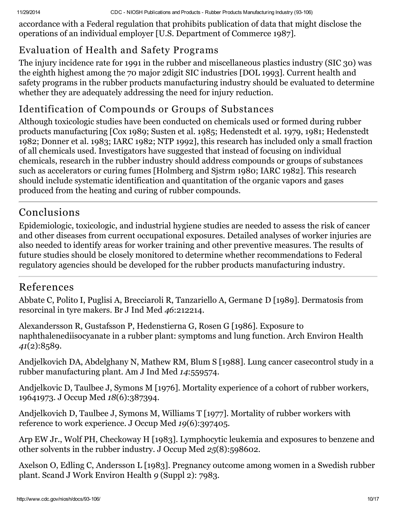accordance with a Federal regulation that prohibits publication of data that might disclose the operations of an individual employer [U.S. Department of Commerce 1987].

# Evaluation of Health and Safety Programs

The injury incidence rate for 1991 in the rubber and miscellaneous plastics industry (SIC 30) was the eighth highest among the 70 major 2digit SIC industries [DOL 1993]. Current health and safety programs in the rubber products manufacturing industry should be evaluated to determine whether they are adequately addressing the need for injury reduction.

# Identification of Compounds or Groups of Substances

Although toxicologic studies have been conducted on chemicals used or formed during rubber products manufacturing [Cox 1989; Susten et al. 1985; Hedenstedt et al. 1979, 1981; Hedenstedt 1982; Donner et al. 1983; IARC 1982; NTP 1992], this research has included only a small fraction of all chemicals used. Investigators have suggested that instead of focusing on individual chemicals, research in the rubber industry should address compounds or groups of substances such as accelerators or curing fumes [Holmberg and Sjstrm 1980; IARC 1982]. This research should include systematic identification and quantitation of the organic vapors and gases produced from the heating and curing of rubber compounds.

# Conclusions

Epidemiologic, toxicologic, and industrial hygiene studies are needed to assess the risk of cancer and other diseases from current occupational exposures. Detailed analyses of worker injuries are also needed to identify areas for worker training and other preventive measures. The results of future studies should be closely monitored to determine whether recommendations to Federal regulatory agencies should be developed for the rubber products manufacturing industry.

# References

Abbate C, Polito I, Puglisi A, Brecciaroli R, Tanzariello A, German¢ D [1989]. Dermatosis from resorcinal in tyre makers. Br J Ind Med 46:212214.

Alexandersson R, Gustafsson P, Hedenstierna G, Rosen G [1986]. Exposure to naphthalenediisocyanate in a rubber plant: symptoms and lung function. Arch Environ Health 41(2):8589.

Andjelkovich DA, Abdelghany N, Mathew RM, Blum S [1988]. Lung cancer casecontrol study in a rubber manufacturing plant. Am J Ind Med 14:559574.

Andjelkovic D, Taulbee J, Symons M [1976]. Mortality experience of a cohort of rubber workers, 19641973. J Occup Med 18(6):387394.

Andjelkovich D, Taulbee J, Symons M, Williams T [1977]. Mortality of rubber workers with reference to work experience. J Occup Med 19(6):397405.

Arp EW Jr., Wolf PH, Checkoway H [1983]. Lymphocytic leukemia and exposures to benzene and other solvents in the rubber industry. J Occup Med 25(8):598602.

Axelson O, Edling C, Andersson L [1983]. Pregnancy outcome among women in a Swedish rubber plant. Scand J Work Environ Health 9 (Suppl 2): 7983.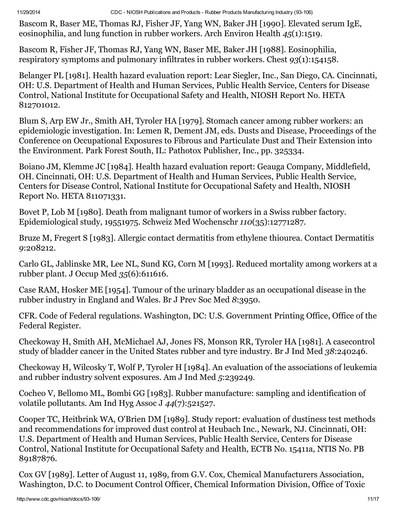Bascom R, Baser ME, Thomas RJ, Fisher JF, Yang WN, Baker JH [1990]. Elevated serum IgE, eosinophilia, and lung function in rubber workers. Arch Environ Health 45(1):1519.

Bascom R, Fisher JF, Thomas RJ, Yang WN, Baser ME, Baker JH [1988]. Eosinophilia, respiratory symptoms and pulmonary infiltrates in rubber workers. Chest 93(1):154158.

Belanger PL [1981]. Health hazard evaluation report: Lear Siegler, Inc., San Diego, CA. Cincinnati, OH: U.S. Department of Health and Human Services, Public Health Service, Centers for Disease Control, National Institute for Occupational Safety and Health, NIOSH Report No. HETA 812701012.

Blum S, Arp EW Jr., Smith AH, Tyroler HA [1979]. Stomach cancer among rubber workers: an epidemiologic investigation. In: Lemen R, Dement JM, eds. Dusts and Disease, Proceedings of the Conference on Occupational Exposures to Fibrous and Particulate Dust and Their Extension into the Environment. Park Forest South, IL: Pathotox Publisher, Inc., pp. 325334.

Boiano JM, Klemme JC [1984]. Health hazard evaluation report: Geauga Company, Middlefield, OH. Cincinnati, OH: U.S. Department of Health and Human Services, Public Health Service, Centers for Disease Control, National Institute for Occupational Safety and Health, NIOSH Report No. HETA 811071331.

Bovet P, Lob M [1980]. Death from malignant tumor of workers in a Swiss rubber factory. Epidemiological study, 19551975. Schweiz Med Wochenschr 110(35):12771287.

Bruze M, Fregert S [1983]. Allergic contact dermatitis from ethylene thiourea. Contact Dermatitis 9:208212.

Carlo GL, Jablinske MR, Lee NL, Sund KG, Corn M [1993]. Reduced mortality among workers at a rubber plant. J Occup Med 35(6):611616.

Case RAM, Hosker ME [1954]. Tumour of the urinary bladder as an occupational disease in the rubber industry in England and Wales. Br J Prev Soc Med 8:3950.

CFR. Code of Federal regulations. Washington, DC: U.S. Government Printing Office, Office of the Federal Register.

Checkoway H, Smith AH, McMichael AJ, Jones FS, Monson RR, Tyroler HA [1981]. A casecontrol study of bladder cancer in the United States rubber and tyre industry. Br J Ind Med 38:240246.

Checkoway H, Wilcosky T, Wolf P, Tyroler H [1984]. An evaluation of the associations of leukemia and rubber industry solvent exposures. Am J Ind Med 5:239249.

Cocheo V, Bellomo ML, Bombi GG [1983]. Rubber manufacture: sampling and identification of volatile pollutants. Am Ind Hyg Assoc J 44(7):521527.

Cooper TC, Heitbrink WA, O'Brien DM [1989]. Study report: evaluation of dustiness test methods and recommendations for improved dust control at Heubach Inc., Newark, NJ. Cincinnati, OH: U.S. Department of Health and Human Services, Public Health Service, Centers for Disease Control, National Institute for Occupational Safety and Health, ECTB No. 15411a, NTIS No. PB 89187876.

Cox GV [1989]. Letter of August 11, 1989, from G.V. Cox, Chemical Manufacturers Association, Washington, D.C. to Document Control Officer, Chemical Information Division, Office of Toxic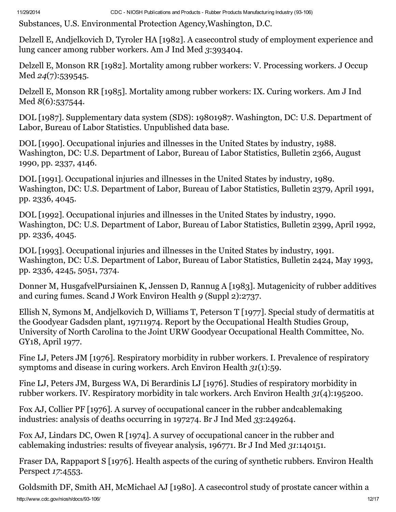Substances, U.S. Environmental Protection Agency,Washington, D.C.

Delzell E, Andjelkovich D, Tyroler HA [1982]. A casecontrol study of employment experience and lung cancer among rubber workers. Am J Ind Med 3:393404.

Delzell E, Monson RR [1982]. Mortality among rubber workers: V. Processing workers. J Occup Med 24(7):539545.

Delzell E, Monson RR [1985]. Mortality among rubber workers: IX. Curing workers. Am J Ind Med 8(6):537544.

DOL [1987]. Supplementary data system (SDS): 19801987. Washington, DC: U.S. Department of Labor, Bureau of Labor Statistics. Unpublished data base.

DOL [1990]. Occupational injuries and illnesses in the United States by industry, 1988. Washington, DC: U.S. Department of Labor, Bureau of Labor Statistics, Bulletin 2366, August 1990, pp. 2337, 4146.

DOL [1991]. Occupational injuries and illnesses in the United States by industry, 1989. Washington, DC: U.S. Department of Labor, Bureau of Labor Statistics, Bulletin 2379, April 1991, pp. 2336, 4045.

DOL [1992]. Occupational injuries and illnesses in the United States by industry, 1990. Washington, DC: U.S. Department of Labor, Bureau of Labor Statistics, Bulletin 2399, April 1992, pp. 2336, 4045.

DOL [1993]. Occupational injuries and illnesses in the United States by industry, 1991. Washington, DC: U.S. Department of Labor, Bureau of Labor Statistics, Bulletin 2424, May 1993, pp. 2336, 4245, 5051, 7374.

Donner M, HusgafvelPursiainen K, Jenssen D, Rannug A [1983]. Mutagenicity of rubber additives and curing fumes. Scand J Work Environ Health 9 (Suppl 2):2737.

Ellish N, Symons M, Andjelkovich D, Williams T, Peterson T [1977]. Special study of dermatitis at the Goodyear Gadsden plant, 19711974. Report by the Occupational Health Studies Group, University of North Carolina to the Joint URW Goodyear Occupational Health Committee, No. GY18, April 1977.

Fine LJ, Peters JM [1976]. Respiratory morbidity in rubber workers. I. Prevalence of respiratory symptoms and disease in curing workers. Arch Environ Health 31(1):59.

Fine LJ, Peters JM, Burgess WA, Di Berardinis LJ [1976]. Studies of respiratory morbidity in rubber workers. IV. Respiratory morbidity in talc workers. Arch Environ Health 31(4):195200.

Fox AJ, Collier PF [1976]. A survey of occupational cancer in the rubber andcablemaking industries: analysis of deaths occurring in 197274. Br J Ind Med 33:249264.

Fox AJ, Lindars DC, Owen R [1974]. A survey of occupational cancer in the rubber and cablemaking industries: results of fiveyear analysis, 196771. Br J Ind Med 31:140151.

Fraser DA, Rappaport S [1976]. Health aspects of the curing of synthetic rubbers. Environ Health Perspect 17:4553.

http://www.cdc.gov/niosh/docs/93-106/ 12/17 Goldsmith DF, Smith AH, McMichael AJ [1980]. A casecontrol study of prostate cancer within a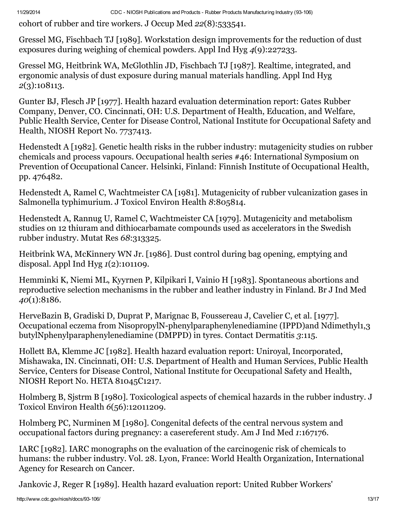cohort of rubber and tire workers. J Occup Med 22(8):533541.

Gressel MG, Fischbach TJ [1989]. Workstation design improvements for the reduction of dust exposures during weighing of chemical powders. Appl Ind Hyg 4(9):227233.

Gressel MG, Heitbrink WA, McGlothlin JD, Fischbach TJ [1987]. Realtime, integrated, and ergonomic analysis of dust exposure during manual materials handling. Appl Ind Hyg 2(3):108113.

Gunter BJ, Flesch JP [1977]. Health hazard evaluation determination report: Gates Rubber Company, Denver, CO. Cincinnati, OH: U.S. Department of Health, Education, and Welfare, Public Health Service, Center for Disease Control, National Institute for Occupational Safety and Health, NIOSH Report No. 7737413.

Hedenstedt A [1982]. Genetic health risks in the rubber industry: mutagenicity studies on rubber chemicals and process vapours. Occupational health series #46: International Symposium on Prevention of Occupational Cancer. Helsinki, Finland: Finnish Institute of Occupational Health, pp. 476482.

Hedenstedt A, Ramel C, Wachtmeister CA [1981]. Mutagenicity of rubber vulcanization gases in Salmonella typhimurium. J Toxicol Environ Health 8:805814.

Hedenstedt A, Rannug U, Ramel C, Wachtmeister CA [1979]. Mutagenicity and metabolism studies on 12 thiuram and dithiocarbamate compounds used as accelerators in the Swedish rubber industry. Mutat Res 68:313325.

Heitbrink WA, McKinnery WN Jr. [1986]. Dust control during bag opening, emptying and disposal. Appl Ind Hyg  $1(2)$ :101109.

Hemminki K, Niemi ML, Kyyrnen P, Kilpikari I, Vainio H [1983]. Spontaneous abortions and reproductive selection mechanisms in the rubber and leather industry in Finland. Br J Ind Med 40(1):8186.

HerveBazin B, Gradiski D, Duprat P, Marignac B, Foussereau J, Cavelier C, et al. [1977]. Occupational eczema from NisopropylN-phenylparaphenylenediamine (IPPD)and Ndimethyl1,3 butylNphenylparaphenylenediamine (DMPPD) in tyres. Contact Dermatitis 3:115.

Hollett BA, Klemme JC [1982]. Health hazard evaluation report: Uniroyal, Incorporated, Mishawaka, IN. Cincinnati, OH: U.S. Department of Health and Human Services, Public Health Service, Centers for Disease Control, National Institute for Occupational Safety and Health, NIOSH Report No. HETA 81045C1217.

Holmberg B, Sjstrm B [1980]. Toxicological aspects of chemical hazards in the rubber industry. J Toxicol Environ Health 6(56):12011209.

Holmberg PC, Nurminen M [1980]. Congenital defects of the central nervous system and occupational factors during pregnancy: a casereferent study. Am J Ind Med 1:167176.

IARC [1982]. IARC monographs on the evaluation of the carcinogenic risk of chemicals to humans: the rubber industry. Vol. 28. Lyon, France: World Health Organization, International Agency for Research on Cancer.

Jankovic J, Reger R [1989]. Health hazard evaluation report: United Rubber Workers'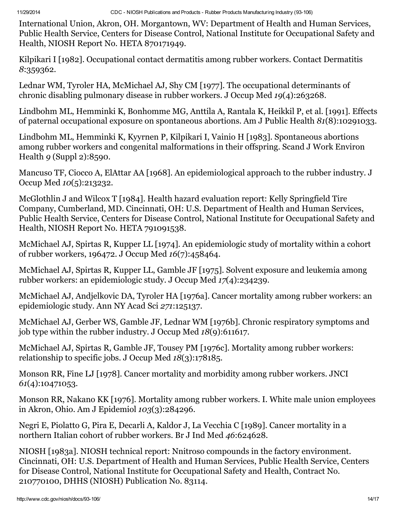International Union, Akron, OH. Morgantown, WV: Department of Health and Human Services, Public Health Service, Centers for Disease Control, National Institute for Occupational Safety and Health, NIOSH Report No. HETA 870171949.

Kilpikari I [1982]. Occupational contact dermatitis among rubber workers. Contact Dermatitis 8:359362.

Lednar WM, Tyroler HA, McMichael AJ, Shy CM [1977]. The occupational determinants of chronic disabling pulmonary disease in rubber workers. J Occup Med 19(4):263268.

Lindbohm ML, Hemminki K, Bonhomme MG, Anttila A, Rantala K, Heikkil P, et al. [1991]. Effects of paternal occupational exposure on spontaneous abortions. Am J Public Health 81(8):10291033.

Lindbohm ML, Hemminki K, Kyyrnen P, Kilpikari I, Vainio H [1983]. Spontaneous abortions among rubber workers and congenital malformations in their offspring. Scand J Work Environ Health 9 (Suppl 2):8590.

Mancuso TF, Ciocco A, ElAttar AA [1968]. An epidemiological approach to the rubber industry. J Occup Med 10(5):213232.

McGlothlin J and Wilcox T [1984]. Health hazard evaluation report: Kelly Springfield Tire Company, Cumberland, MD. Cincinnati, OH: U.S. Department of Health and Human Services, Public Health Service, Centers for Disease Control, National Institute for Occupational Safety and Health, NIOSH Report No. HETA 791091538.

McMichael AJ, Spirtas R, Kupper LL [1974]. An epidemiologic study of mortality within a cohort of rubber workers, 196472. J Occup Med 16(7):458464.

McMichael AJ, Spirtas R, Kupper LL, Gamble JF [1975]. Solvent exposure and leukemia among rubber workers: an epidemiologic study. J Occup Med 17(4):234239.

McMichael AJ, Andjelkovic DA, Tyroler HA [1976a]. Cancer mortality among rubber workers: an epidemiologic study. Ann NY Acad Sci 271:125137.

McMichael AJ, Gerber WS, Gamble JF, Lednar WM [1976b]. Chronic respiratory symptoms and job type within the rubber industry. J Occup Med 18(9):611617.

McMichael AJ, Spirtas R, Gamble JF, Tousey PM [1976c]. Mortality among rubber workers: relationship to specific jobs. J Occup Med 18(3):178185.

Monson RR, Fine LJ [1978]. Cancer mortality and morbidity among rubber workers. JNCI 61(4):10471053.

Monson RR, Nakano KK [1976]. Mortality among rubber workers. I. White male union employees in Akron, Ohio. Am J Epidemiol 103(3):284296.

Negri E, Piolatto G, Pira E, Decarli A, Kaldor J, La Vecchia C [1989]. Cancer mortality in a northern Italian cohort of rubber workers. Br J Ind Med 46:624628.

NIOSH [1983a]. NIOSH technical report: Nnitroso compounds in the factory environment. Cincinnati, OH: U.S. Department of Health and Human Services, Public Health Service, Centers for Disease Control, National Institute for Occupational Safety and Health, Contract No. 210770100, DHHS (NIOSH) Publication No. 83114.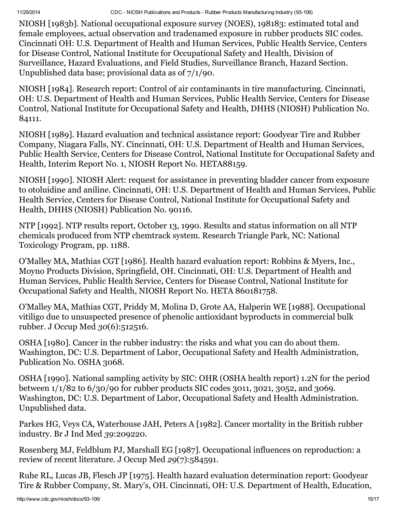NIOSH [1983b]. National occupational exposure survey (NOES), 198183: estimated total and female employees, actual observation and tradenamed exposure in rubber products SIC codes. Cincinnati OH: U.S. Department of Health and Human Services, Public Health Service, Centers for Disease Control, National Institute for Occupational Safety and Health, Division of Surveillance, Hazard Evaluations, and Field Studies, Surveillance Branch, Hazard Section. Unpublished data base; provisional data as of 7/1/90.

NIOSH [1984]. Research report: Control of air contaminants in tire manufacturing. Cincinnati, OH: U.S. Department of Health and Human Services, Public Health Service, Centers for Disease Control, National Institute for Occupational Safety and Health, DHHS (NIOSH) Publication No. 84111.

NIOSH [1989]. Hazard evaluation and technical assistance report: Goodyear Tire and Rubber Company, Niagara Falls, NY. Cincinnati, OH: U.S. Department of Health and Human Services, Public Health Service, Centers for Disease Control, National Institute for Occupational Safety and Health, Interim Report No. 1, NIOSH Report No. HETA88159.

NIOSH [1990]. NIOSH Alert: request for assistance in preventing bladder cancer from exposure to otoluidine and aniline. Cincinnati, OH: U.S. Department of Health and Human Services, Public Health Service, Centers for Disease Control, National Institute for Occupational Safety and Health, DHHS (NIOSH) Publication No. 90116.

NTP [1992]. NTP results report, October 13, 1990. Results and status information on all NTP chemicals produced from NTP chemtrack system. Research Triangle Park, NC: National Toxicology Program, pp. 1188.

O'Malley MA, Mathias CGT [1986]. Health hazard evaluation report: Robbins & Myers, Inc., Moyno Products Division, Springfield, OH. Cincinnati, OH: U.S. Department of Health and Human Services, Public Health Service, Centers for Disease Control, National Institute for Occupational Safety and Health, NIOSH Report No. HETA 860181758.

O'Malley MA, Mathias CGT, Priddy M, Molina D, Grote AA, Halperin WE [1988]. Occupational vitiligo due to unsuspected presence of phenolic antioxidant byproducts in commercial bulk rubber. J Occup Med 30(6):512516.

OSHA [1980]. Cancer in the rubber industry: the risks and what you can do about them. Washington, DC: U.S. Department of Labor, Occupational Safety and Health Administration, Publication No. OSHA 3068.

OSHA [1990]. National sampling activity by SIC: OHR (OSHA health report) 1.2N for the period between 1/1/82 to 6/30/90 for rubber products SIC codes 3011, 3021, 3052, and 3069. Washington, DC: U.S. Department of Labor, Occupational Safety and Health Administration. Unpublished data.

Parkes HG, Veys CA, Waterhouse JAH, Peters A [1982]. Cancer mortality in the British rubber industry. Br J Ind Med 39:209220.

Rosenberg MJ, Feldblum PJ, Marshall EG [1987]. Occupational influences on reproduction: a review of recent literature. J Occup Med 29(7):584591.

Ruhe RL, Lucas JB, Flesch JP [1975]. Health hazard evaluation determination report: Goodyear Tire & Rubber Company, St. Mary's, OH. Cincinnati, OH: U.S. Department of Health, Education,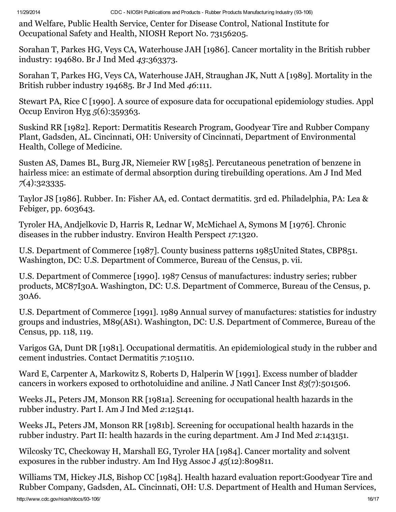and Welfare, Public Health Service, Center for Disease Control, National Institute for Occupational Safety and Health, NIOSH Report No. 73156205.

Sorahan T, Parkes HG, Veys CA, Waterhouse JAH [1986]. Cancer mortality in the British rubber industry: 194680. Br J Ind Med 43:363373.

Sorahan T, Parkes HG, Veys CA, Waterhouse JAH, Straughan JK, Nutt A [1989]. Mortality in the British rubber industry 194685. Br J Ind Med 46:111.

Stewart PA, Rice C [1990]. A source of exposure data for occupational epidemiology studies. Appl Occup Environ Hyg 5(6):359363.

Suskind RR [1982]. Report: Dermatitis Research Program, Goodyear Tire and Rubber Company Plant, Gadsden, AL. Cincinnati, OH: University of Cincinnati, Department of Environmental Health, College of Medicine.

Susten AS, Dames BL, Burg JR, Niemeier RW [1985]. Percutaneous penetration of benzene in hairless mice: an estimate of dermal absorption during tirebuilding operations. Am J Ind Med 7(4):323335.

Taylor JS [1986]. Rubber. In: Fisher AA, ed. Contact dermatitis. 3rd ed. Philadelphia, PA: Lea & Febiger, pp. 603643.

Tyroler HA, Andjelkovic D, Harris R, Lednar W, McMichael A, Symons M [1976]. Chronic diseases in the rubber industry. Environ Health Perspect 17:1320.

U.S. Department of Commerce [1987]. County business patterns 1985United States, CBP851. Washington, DC: U.S. Department of Commerce, Bureau of the Census, p. vii.

U.S. Department of Commerce [1990]. 1987 Census of manufactures: industry series; rubber products, MC87I30A. Washington, DC: U.S. Department of Commerce, Bureau of the Census, p. 30A6.

U.S. Department of Commerce [1991]. 1989 Annual survey of manufactures: statistics for industry groups and industries, M89(AS1). Washington, DC: U.S. Department of Commerce, Bureau of the Census, pp. 118, 119.

Varigos GA, Dunt DR [1981]. Occupational dermatitis. An epidemiological study in the rubber and cement industries. Contact Dermatitis 7:105110.

Ward E, Carpenter A, Markowitz S, Roberts D, Halperin W [1991]. Excess number of bladder cancers in workers exposed to orthotoluidine and aniline. J Natl Cancer Inst 83(7):501506.

Weeks JL, Peters JM, Monson RR [1981a]. Screening for occupational health hazards in the rubber industry. Part I. Am J Ind Med 2:125141.

Weeks JL, Peters JM, Monson RR [1981b]. Screening for occupational health hazards in the rubber industry. Part II: health hazards in the curing department. Am J Ind Med 2:143151.

Wilcosky TC, Checkoway H, Marshall EG, Tyroler HA [1984]. Cancer mortality and solvent exposures in the rubber industry. Am Ind Hyg Assoc J 45(12):809811.

Williams TM, Hickey JLS, Bishop CC [1984]. Health hazard evaluation report:Goodyear Tire and Rubber Company, Gadsden, AL. Cincinnati, OH: U.S. Department of Health and Human Services,